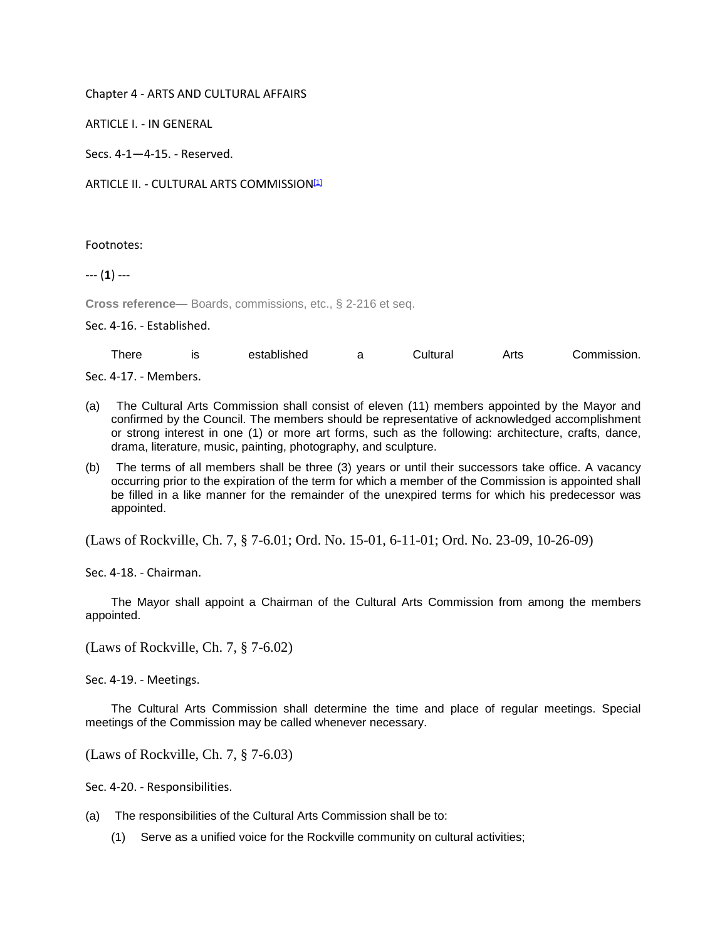## Chapter 4 - ARTS AND CULTURAL AFFAIRS

ARTICLE I. - IN GENERAL

Secs. 4-1—4-15. - Reserved.

ARTICLE II. - CULTURAL ARTS COMMISSION<sup>[1]</sup>

Footnotes:

--- (**1**) ---

**Cross reference—** Boards, commissions, etc., § 2-216 et seq.

Sec. 4-16. - Established.

| $\tau$ here           | ıs | established | Cultural | Arts | Commission. |
|-----------------------|----|-------------|----------|------|-------------|
| Sec. 4-17. - Members. |    |             |          |      |             |

- (a) The Cultural Arts Commission shall consist of eleven (11) members appointed by the Mayor and confirmed by the Council. The members should be representative of acknowledged accomplishment or strong interest in one (1) or more art forms, such as the following: architecture, crafts, dance, drama, literature, music, painting, photography, and sculpture.
- (b) The terms of all members shall be three (3) years or until their successors take office. A vacancy occurring prior to the expiration of the term for which a member of the Commission is appointed shall be filled in a like manner for the remainder of the unexpired terms for which his predecessor was appointed.

(Laws of Rockville, Ch. 7, § 7-6.01; Ord. No. 15-01, 6-11-01; Ord. No. 23-09, 10-26-09)

Sec. 4-18. - Chairman.

The Mayor shall appoint a Chairman of the Cultural Arts Commission from among the members appointed.

(Laws of Rockville, Ch. 7, § 7-6.02)

Sec. 4-19. - Meetings.

The Cultural Arts Commission shall determine the time and place of regular meetings. Special meetings of the Commission may be called whenever necessary.

(Laws of Rockville, Ch. 7, § 7-6.03)

Sec. 4-20. - Responsibilities.

- (a) The responsibilities of the Cultural Arts Commission shall be to:
	- (1) Serve as a unified voice for the Rockville community on cultural activities;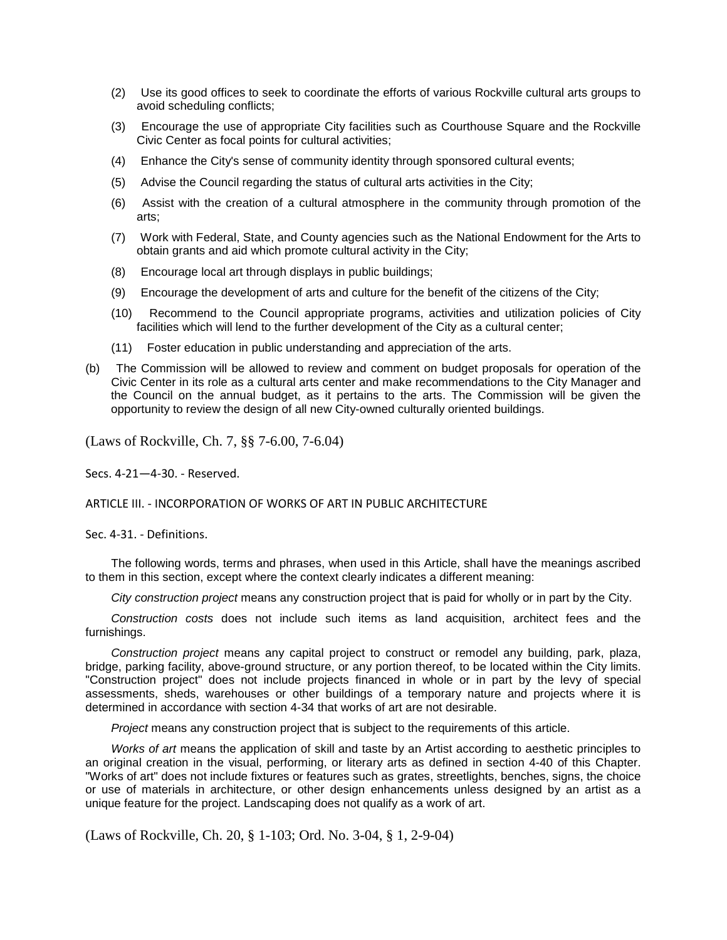- (2) Use its good offices to seek to coordinate the efforts of various Rockville cultural arts groups to avoid scheduling conflicts;
- (3) Encourage the use of appropriate City facilities such as Courthouse Square and the Rockville Civic Center as focal points for cultural activities;
- (4) Enhance the City's sense of community identity through sponsored cultural events;
- (5) Advise the Council regarding the status of cultural arts activities in the City;
- (6) Assist with the creation of a cultural atmosphere in the community through promotion of the arts;
- (7) Work with Federal, State, and County agencies such as the National Endowment for the Arts to obtain grants and aid which promote cultural activity in the City;
- (8) Encourage local art through displays in public buildings;
- (9) Encourage the development of arts and culture for the benefit of the citizens of the City;
- (10) Recommend to the Council appropriate programs, activities and utilization policies of City facilities which will lend to the further development of the City as a cultural center;
- (11) Foster education in public understanding and appreciation of the arts.
- (b) The Commission will be allowed to review and comment on budget proposals for operation of the Civic Center in its role as a cultural arts center and make recommendations to the City Manager and the Council on the annual budget, as it pertains to the arts. The Commission will be given the opportunity to review the design of all new City-owned culturally oriented buildings.

(Laws of Rockville, Ch. 7, §§ 7-6.00, 7-6.04)

Secs. 4-21—4-30. - Reserved.

ARTICLE III. - INCORPORATION OF WORKS OF ART IN PUBLIC ARCHITECTURE

Sec. 4-31. - Definitions.

The following words, terms and phrases, when used in this Article, shall have the meanings ascribed to them in this section, except where the context clearly indicates a different meaning:

*City construction project* means any construction project that is paid for wholly or in part by the City.

*Construction costs* does not include such items as land acquisition, architect fees and the furnishings.

*Construction project* means any capital project to construct or remodel any building, park, plaza, bridge, parking facility, above-ground structure, or any portion thereof, to be located within the City limits. "Construction project" does not include projects financed in whole or in part by the levy of special assessments, sheds, warehouses or other buildings of a temporary nature and projects where it is determined in accordance with section 4-34 that works of art are not desirable.

*Project* means any construction project that is subject to the requirements of this article.

*Works of art* means the application of skill and taste by an Artist according to aesthetic principles to an original creation in the visual, performing, or literary arts as defined in section 4-40 of this Chapter. "Works of art" does not include fixtures or features such as grates, streetlights, benches, signs, the choice or use of materials in architecture, or other design enhancements unless designed by an artist as a unique feature for the project. Landscaping does not qualify as a work of art.

(Laws of Rockville, Ch. 20, § 1-103; Ord. No. 3-04, § 1, 2-9-04)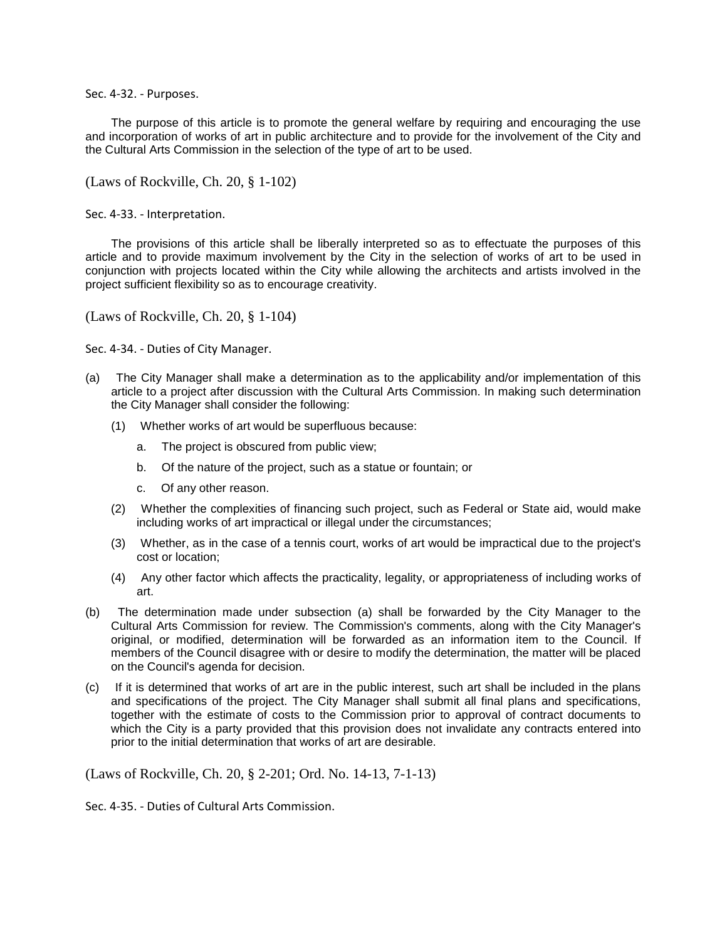Sec. 4-32. - Purposes.

The purpose of this article is to promote the general welfare by requiring and encouraging the use and incorporation of works of art in public architecture and to provide for the involvement of the City and the Cultural Arts Commission in the selection of the type of art to be used.

(Laws of Rockville, Ch. 20, § 1-102)

Sec. 4-33. - Interpretation.

The provisions of this article shall be liberally interpreted so as to effectuate the purposes of this article and to provide maximum involvement by the City in the selection of works of art to be used in conjunction with projects located within the City while allowing the architects and artists involved in the project sufficient flexibility so as to encourage creativity.

(Laws of Rockville, Ch. 20, § 1-104)

Sec. 4-34. - Duties of City Manager.

- (a) The City Manager shall make a determination as to the applicability and/or implementation of this article to a project after discussion with the Cultural Arts Commission. In making such determination the City Manager shall consider the following:
	- (1) Whether works of art would be superfluous because:
		- a. The project is obscured from public view;
		- b. Of the nature of the project, such as a statue or fountain; or
		- c. Of any other reason.
	- (2) Whether the complexities of financing such project, such as Federal or State aid, would make including works of art impractical or illegal under the circumstances;
	- (3) Whether, as in the case of a tennis court, works of art would be impractical due to the project's cost or location;
	- (4) Any other factor which affects the practicality, legality, or appropriateness of including works of art.
- (b) The determination made under subsection (a) shall be forwarded by the City Manager to the Cultural Arts Commission for review. The Commission's comments, along with the City Manager's original, or modified, determination will be forwarded as an information item to the Council. If members of the Council disagree with or desire to modify the determination, the matter will be placed on the Council's agenda for decision.
- (c) If it is determined that works of art are in the public interest, such art shall be included in the plans and specifications of the project. The City Manager shall submit all final plans and specifications, together with the estimate of costs to the Commission prior to approval of contract documents to which the City is a party provided that this provision does not invalidate any contracts entered into prior to the initial determination that works of art are desirable.

(Laws of Rockville, Ch. 20, § 2-201; Ord. No. 14-13, 7-1-13)

Sec. 4-35. - Duties of Cultural Arts Commission.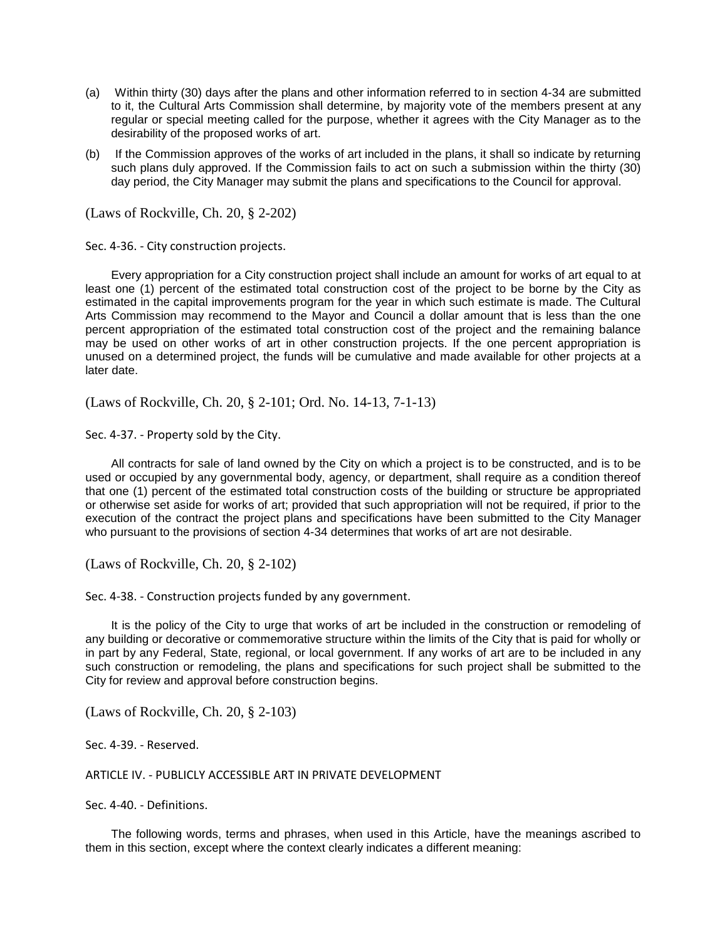- (a) Within thirty (30) days after the plans and other information referred to in section 4-34 are submitted to it, the Cultural Arts Commission shall determine, by majority vote of the members present at any regular or special meeting called for the purpose, whether it agrees with the City Manager as to the desirability of the proposed works of art.
- (b) If the Commission approves of the works of art included in the plans, it shall so indicate by returning such plans duly approved. If the Commission fails to act on such a submission within the thirty (30) day period, the City Manager may submit the plans and specifications to the Council for approval.

(Laws of Rockville, Ch. 20, § 2-202)

Sec. 4-36. - City construction projects.

Every appropriation for a City construction project shall include an amount for works of art equal to at least one (1) percent of the estimated total construction cost of the project to be borne by the City as estimated in the capital improvements program for the year in which such estimate is made. The Cultural Arts Commission may recommend to the Mayor and Council a dollar amount that is less than the one percent appropriation of the estimated total construction cost of the project and the remaining balance may be used on other works of art in other construction projects. If the one percent appropriation is unused on a determined project, the funds will be cumulative and made available for other projects at a later date.

(Laws of Rockville, Ch. 20, § 2-101; Ord. No. 14-13, 7-1-13)

Sec. 4-37. - Property sold by the City.

All contracts for sale of land owned by the City on which a project is to be constructed, and is to be used or occupied by any governmental body, agency, or department, shall require as a condition thereof that one (1) percent of the estimated total construction costs of the building or structure be appropriated or otherwise set aside for works of art; provided that such appropriation will not be required, if prior to the execution of the contract the project plans and specifications have been submitted to the City Manager who pursuant to the provisions of section 4-34 determines that works of art are not desirable.

(Laws of Rockville, Ch. 20, § 2-102)

Sec. 4-38. - Construction projects funded by any government.

It is the policy of the City to urge that works of art be included in the construction or remodeling of any building or decorative or commemorative structure within the limits of the City that is paid for wholly or in part by any Federal, State, regional, or local government. If any works of art are to be included in any such construction or remodeling, the plans and specifications for such project shall be submitted to the City for review and approval before construction begins.

(Laws of Rockville, Ch. 20, § 2-103)

Sec. 4-39. - Reserved.

ARTICLE IV. - PUBLICLY ACCESSIBLE ART IN PRIVATE DEVELOPMENT

Sec. 4-40. - Definitions.

The following words, terms and phrases, when used in this Article, have the meanings ascribed to them in this section, except where the context clearly indicates a different meaning: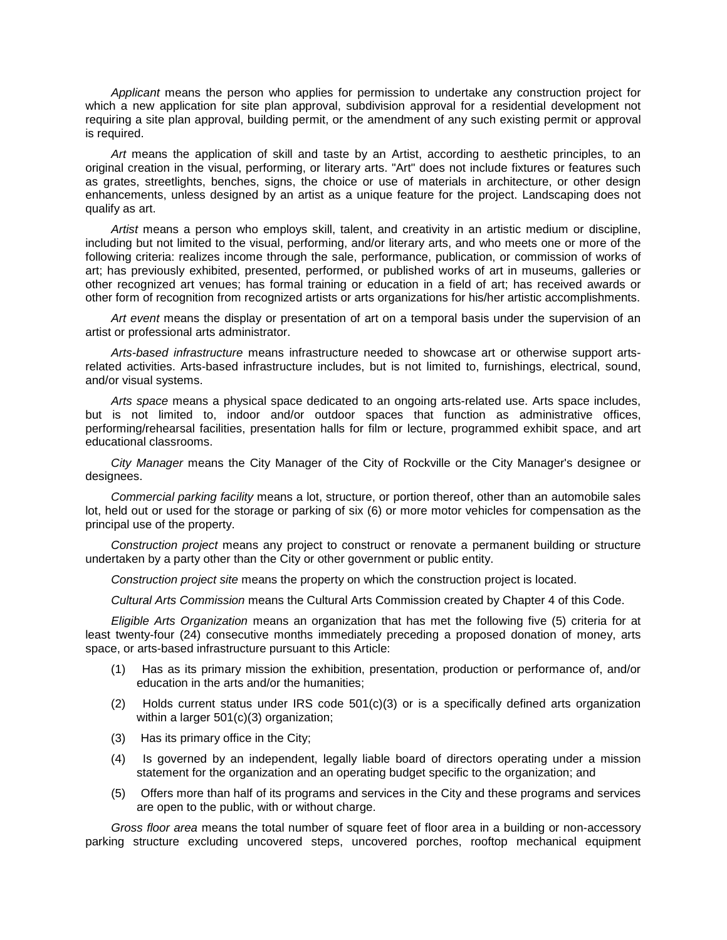*Applicant* means the person who applies for permission to undertake any construction project for which a new application for site plan approval, subdivision approval for a residential development not requiring a site plan approval, building permit, or the amendment of any such existing permit or approval is required.

*Art* means the application of skill and taste by an Artist, according to aesthetic principles, to an original creation in the visual, performing, or literary arts. "Art" does not include fixtures or features such as grates, streetlights, benches, signs, the choice or use of materials in architecture, or other design enhancements, unless designed by an artist as a unique feature for the project. Landscaping does not qualify as art.

*Artist* means a person who employs skill, talent, and creativity in an artistic medium or discipline, including but not limited to the visual, performing, and/or literary arts, and who meets one or more of the following criteria: realizes income through the sale, performance, publication, or commission of works of art; has previously exhibited, presented, performed, or published works of art in museums, galleries or other recognized art venues; has formal training or education in a field of art; has received awards or other form of recognition from recognized artists or arts organizations for his/her artistic accomplishments.

*Art event* means the display or presentation of art on a temporal basis under the supervision of an artist or professional arts administrator.

*Arts-based infrastructure* means infrastructure needed to showcase art or otherwise support artsrelated activities. Arts-based infrastructure includes, but is not limited to, furnishings, electrical, sound, and/or visual systems.

*Arts space* means a physical space dedicated to an ongoing arts-related use. Arts space includes, but is not limited to, indoor and/or outdoor spaces that function as administrative offices, performing/rehearsal facilities, presentation halls for film or lecture, programmed exhibit space, and art educational classrooms.

*City Manager* means the City Manager of the City of Rockville or the City Manager's designee or designees.

*Commercial parking facility* means a lot, structure, or portion thereof, other than an automobile sales lot, held out or used for the storage or parking of six (6) or more motor vehicles for compensation as the principal use of the property.

*Construction project* means any project to construct or renovate a permanent building or structure undertaken by a party other than the City or other government or public entity.

*Construction project site* means the property on which the construction project is located.

*Cultural Arts Commission* means the Cultural Arts Commission created by Chapter 4 of this Code.

*Eligible Arts Organization* means an organization that has met the following five (5) criteria for at least twenty-four (24) consecutive months immediately preceding a proposed donation of money, arts space, or arts-based infrastructure pursuant to this Article:

- (1) Has as its primary mission the exhibition, presentation, production or performance of, and/or education in the arts and/or the humanities;
- (2) Holds current status under IRS code 501(c)(3) or is a specifically defined arts organization within a larger 501(c)(3) organization;
- (3) Has its primary office in the City;
- (4) Is governed by an independent, legally liable board of directors operating under a mission statement for the organization and an operating budget specific to the organization; and
- (5) Offers more than half of its programs and services in the City and these programs and services are open to the public, with or without charge.

*Gross floor area* means the total number of square feet of floor area in a building or non-accessory parking structure excluding uncovered steps, uncovered porches, rooftop mechanical equipment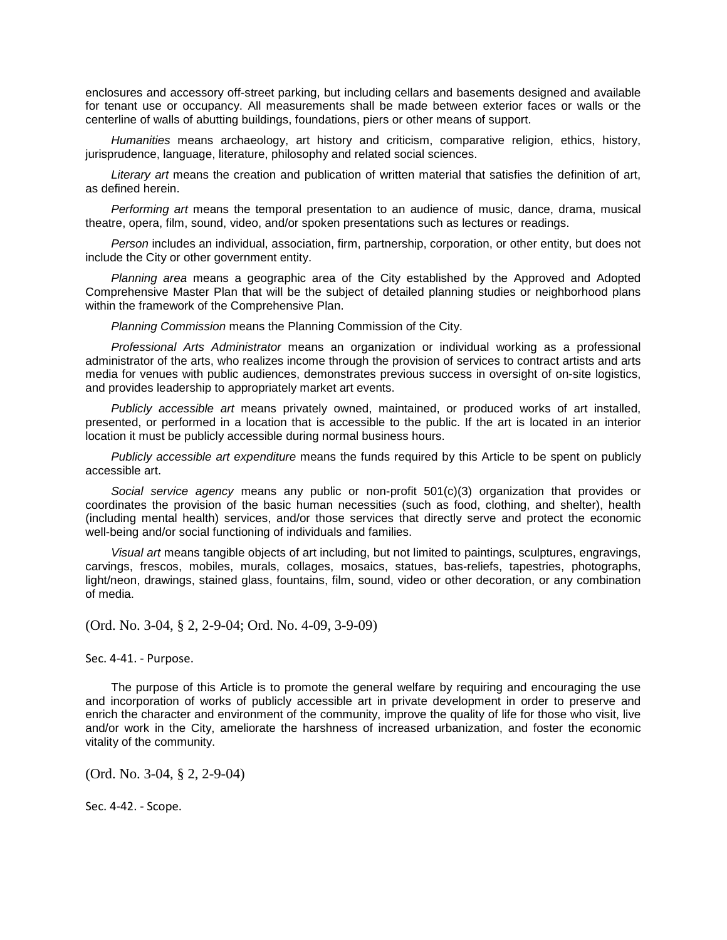enclosures and accessory off-street parking, but including cellars and basements designed and available for tenant use or occupancy. All measurements shall be made between exterior faces or walls or the centerline of walls of abutting buildings, foundations, piers or other means of support.

*Humanities* means archaeology, art history and criticism, comparative religion, ethics, history, jurisprudence, language, literature, philosophy and related social sciences.

*Literary art* means the creation and publication of written material that satisfies the definition of art, as defined herein.

*Performing art* means the temporal presentation to an audience of music, dance, drama, musical theatre, opera, film, sound, video, and/or spoken presentations such as lectures or readings.

*Person* includes an individual, association, firm, partnership, corporation, or other entity, but does not include the City or other government entity.

*Planning area* means a geographic area of the City established by the Approved and Adopted Comprehensive Master Plan that will be the subject of detailed planning studies or neighborhood plans within the framework of the Comprehensive Plan.

*Planning Commission* means the Planning Commission of the City.

*Professional Arts Administrator* means an organization or individual working as a professional administrator of the arts, who realizes income through the provision of services to contract artists and arts media for venues with public audiences, demonstrates previous success in oversight of on-site logistics, and provides leadership to appropriately market art events.

*Publicly accessible art* means privately owned, maintained, or produced works of art installed, presented, or performed in a location that is accessible to the public. If the art is located in an interior location it must be publicly accessible during normal business hours.

*Publicly accessible art expenditure* means the funds required by this Article to be spent on publicly accessible art.

*Social service agency* means any public or non-profit 501(c)(3) organization that provides or coordinates the provision of the basic human necessities (such as food, clothing, and shelter), health (including mental health) services, and/or those services that directly serve and protect the economic well-being and/or social functioning of individuals and families.

*Visual art* means tangible objects of art including, but not limited to paintings, sculptures, engravings, carvings, frescos, mobiles, murals, collages, mosaics, statues, bas-reliefs, tapestries, photographs, light/neon, drawings, stained glass, fountains, film, sound, video or other decoration, or any combination of media.

(Ord. No. 3-04, § 2, 2-9-04; Ord. No. 4-09, 3-9-09)

Sec. 4-41. - Purpose.

The purpose of this Article is to promote the general welfare by requiring and encouraging the use and incorporation of works of publicly accessible art in private development in order to preserve and enrich the character and environment of the community, improve the quality of life for those who visit, live and/or work in the City, ameliorate the harshness of increased urbanization, and foster the economic vitality of the community.

(Ord. No. 3-04, § 2, 2-9-04)

Sec. 4-42. - Scope.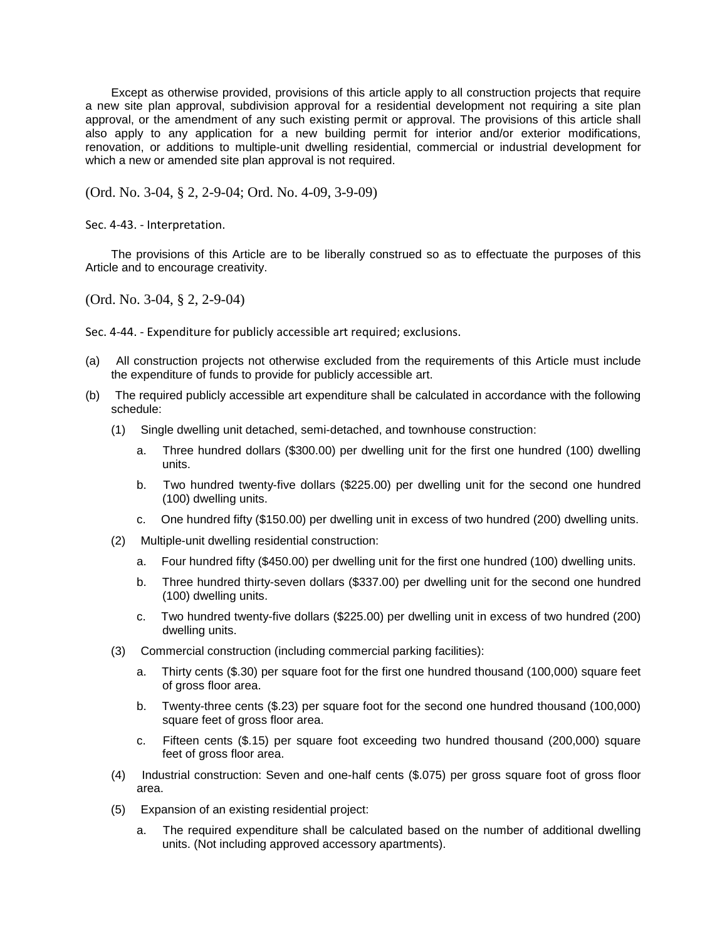Except as otherwise provided, provisions of this article apply to all construction projects that require a new site plan approval, subdivision approval for a residential development not requiring a site plan approval, or the amendment of any such existing permit or approval. The provisions of this article shall also apply to any application for a new building permit for interior and/or exterior modifications, renovation, or additions to multiple-unit dwelling residential, commercial or industrial development for which a new or amended site plan approval is not required.

(Ord. No. 3-04, § 2, 2-9-04; Ord. No. 4-09, 3-9-09)

Sec. 4-43. - Interpretation.

The provisions of this Article are to be liberally construed so as to effectuate the purposes of this Article and to encourage creativity.

(Ord. No. 3-04, § 2, 2-9-04)

Sec. 4-44. - Expenditure for publicly accessible art required; exclusions.

- (a) All construction projects not otherwise excluded from the requirements of this Article must include the expenditure of funds to provide for publicly accessible art.
- (b) The required publicly accessible art expenditure shall be calculated in accordance with the following schedule:
	- (1) Single dwelling unit detached, semi-detached, and townhouse construction:
		- a. Three hundred dollars (\$300.00) per dwelling unit for the first one hundred (100) dwelling units.
		- b. Two hundred twenty-five dollars (\$225.00) per dwelling unit for the second one hundred (100) dwelling units.
		- c. One hundred fifty (\$150.00) per dwelling unit in excess of two hundred (200) dwelling units.
	- (2) Multiple-unit dwelling residential construction:
		- a. Four hundred fifty (\$450.00) per dwelling unit for the first one hundred (100) dwelling units.
		- b. Three hundred thirty-seven dollars (\$337.00) per dwelling unit for the second one hundred (100) dwelling units.
		- c. Two hundred twenty-five dollars (\$225.00) per dwelling unit in excess of two hundred (200) dwelling units.
	- (3) Commercial construction (including commercial parking facilities):
		- a. Thirty cents (\$.30) per square foot for the first one hundred thousand (100,000) square feet of gross floor area.
		- b. Twenty-three cents (\$.23) per square foot for the second one hundred thousand (100,000) square feet of gross floor area.
		- c. Fifteen cents (\$.15) per square foot exceeding two hundred thousand (200,000) square feet of gross floor area.
	- (4) Industrial construction: Seven and one-half cents (\$.075) per gross square foot of gross floor area.
	- (5) Expansion of an existing residential project:
		- a. The required expenditure shall be calculated based on the number of additional dwelling units. (Not including approved accessory apartments).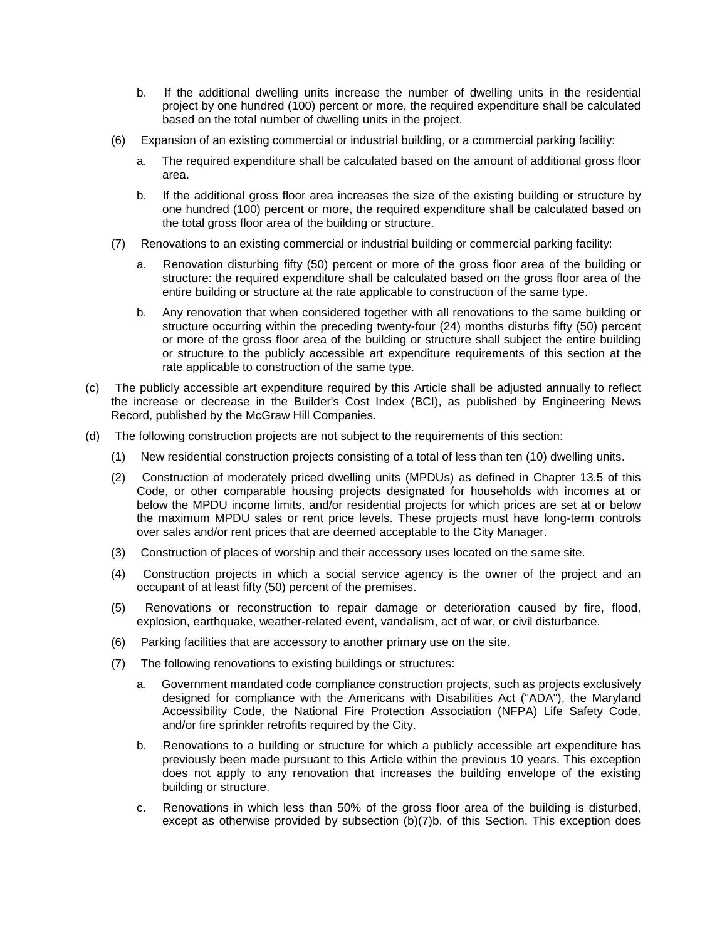- b. If the additional dwelling units increase the number of dwelling units in the residential project by one hundred (100) percent or more, the required expenditure shall be calculated based on the total number of dwelling units in the project.
- (6) Expansion of an existing commercial or industrial building, or a commercial parking facility:
	- a. The required expenditure shall be calculated based on the amount of additional gross floor area.
	- b. If the additional gross floor area increases the size of the existing building or structure by one hundred (100) percent or more, the required expenditure shall be calculated based on the total gross floor area of the building or structure.
- (7) Renovations to an existing commercial or industrial building or commercial parking facility:
	- a. Renovation disturbing fifty (50) percent or more of the gross floor area of the building or structure: the required expenditure shall be calculated based on the gross floor area of the entire building or structure at the rate applicable to construction of the same type.
	- b. Any renovation that when considered together with all renovations to the same building or structure occurring within the preceding twenty-four (24) months disturbs fifty (50) percent or more of the gross floor area of the building or structure shall subject the entire building or structure to the publicly accessible art expenditure requirements of this section at the rate applicable to construction of the same type.
- (c) The publicly accessible art expenditure required by this Article shall be adjusted annually to reflect the increase or decrease in the Builder's Cost Index (BCI), as published by Engineering News Record, published by the McGraw Hill Companies.
- (d) The following construction projects are not subject to the requirements of this section:
	- (1) New residential construction projects consisting of a total of less than ten (10) dwelling units.
	- (2) Construction of moderately priced dwelling units (MPDUs) as defined in Chapter 13.5 of this Code, or other comparable housing projects designated for households with incomes at or below the MPDU income limits, and/or residential projects for which prices are set at or below the maximum MPDU sales or rent price levels. These projects must have long-term controls over sales and/or rent prices that are deemed acceptable to the City Manager.
	- (3) Construction of places of worship and their accessory uses located on the same site.
	- (4) Construction projects in which a social service agency is the owner of the project and an occupant of at least fifty (50) percent of the premises.
	- (5) Renovations or reconstruction to repair damage or deterioration caused by fire, flood, explosion, earthquake, weather-related event, vandalism, act of war, or civil disturbance.
	- (6) Parking facilities that are accessory to another primary use on the site.
	- (7) The following renovations to existing buildings or structures:
		- a. Government mandated code compliance construction projects, such as projects exclusively designed for compliance with the Americans with Disabilities Act ("ADA"), the Maryland Accessibility Code, the National Fire Protection Association (NFPA) Life Safety Code, and/or fire sprinkler retrofits required by the City.
		- b. Renovations to a building or structure for which a publicly accessible art expenditure has previously been made pursuant to this Article within the previous 10 years. This exception does not apply to any renovation that increases the building envelope of the existing building or structure.
		- c. Renovations in which less than 50% of the gross floor area of the building is disturbed, except as otherwise provided by subsection (b)(7)b. of this Section. This exception does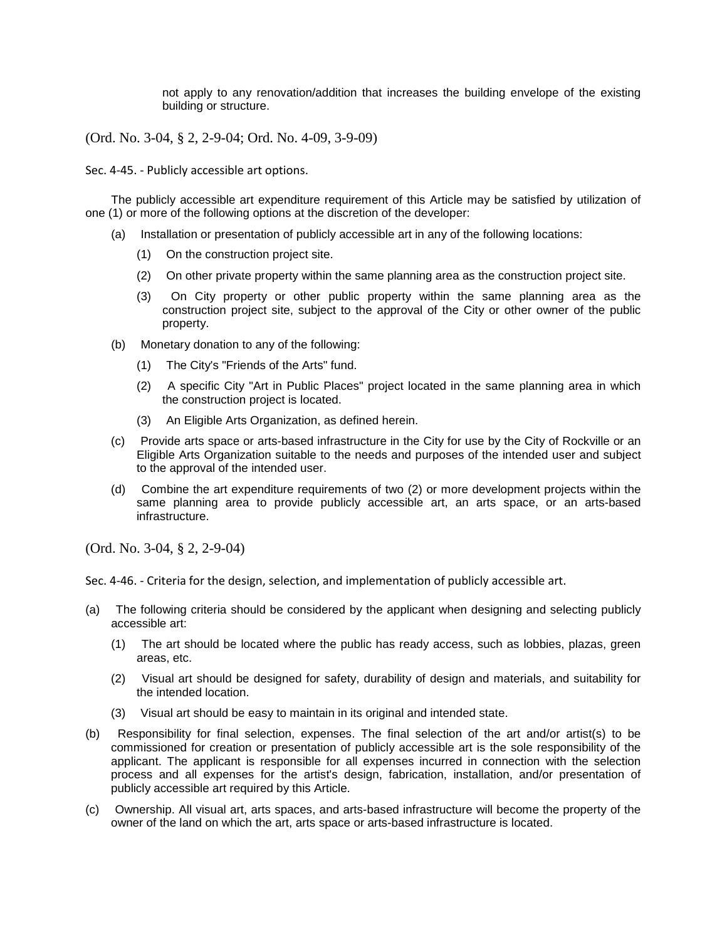not apply to any renovation/addition that increases the building envelope of the existing building or structure.

(Ord. No. 3-04, § 2, 2-9-04; Ord. No. 4-09, 3-9-09)

Sec. 4-45. - Publicly accessible art options.

The publicly accessible art expenditure requirement of this Article may be satisfied by utilization of one (1) or more of the following options at the discretion of the developer:

- (a) Installation or presentation of publicly accessible art in any of the following locations:
	- (1) On the construction project site.
	- (2) On other private property within the same planning area as the construction project site.
	- (3) On City property or other public property within the same planning area as the construction project site, subject to the approval of the City or other owner of the public property.
- (b) Monetary donation to any of the following:
	- (1) The City's "Friends of the Arts" fund.
	- (2) A specific City "Art in Public Places" project located in the same planning area in which the construction project is located.
	- (3) An Eligible Arts Organization, as defined herein.
- (c) Provide arts space or arts-based infrastructure in the City for use by the City of Rockville or an Eligible Arts Organization suitable to the needs and purposes of the intended user and subject to the approval of the intended user.
- (d) Combine the art expenditure requirements of two (2) or more development projects within the same planning area to provide publicly accessible art, an arts space, or an arts-based infrastructure.

(Ord. No. 3-04, § 2, 2-9-04)

Sec. 4-46. - Criteria for the design, selection, and implementation of publicly accessible art.

- (a) The following criteria should be considered by the applicant when designing and selecting publicly accessible art:
	- (1) The art should be located where the public has ready access, such as lobbies, plazas, green areas, etc.
	- (2) Visual art should be designed for safety, durability of design and materials, and suitability for the intended location.
	- (3) Visual art should be easy to maintain in its original and intended state.
- (b) Responsibility for final selection, expenses. The final selection of the art and/or artist(s) to be commissioned for creation or presentation of publicly accessible art is the sole responsibility of the applicant. The applicant is responsible for all expenses incurred in connection with the selection process and all expenses for the artist's design, fabrication, installation, and/or presentation of publicly accessible art required by this Article.
- (c) Ownership. All visual art, arts spaces, and arts-based infrastructure will become the property of the owner of the land on which the art, arts space or arts-based infrastructure is located.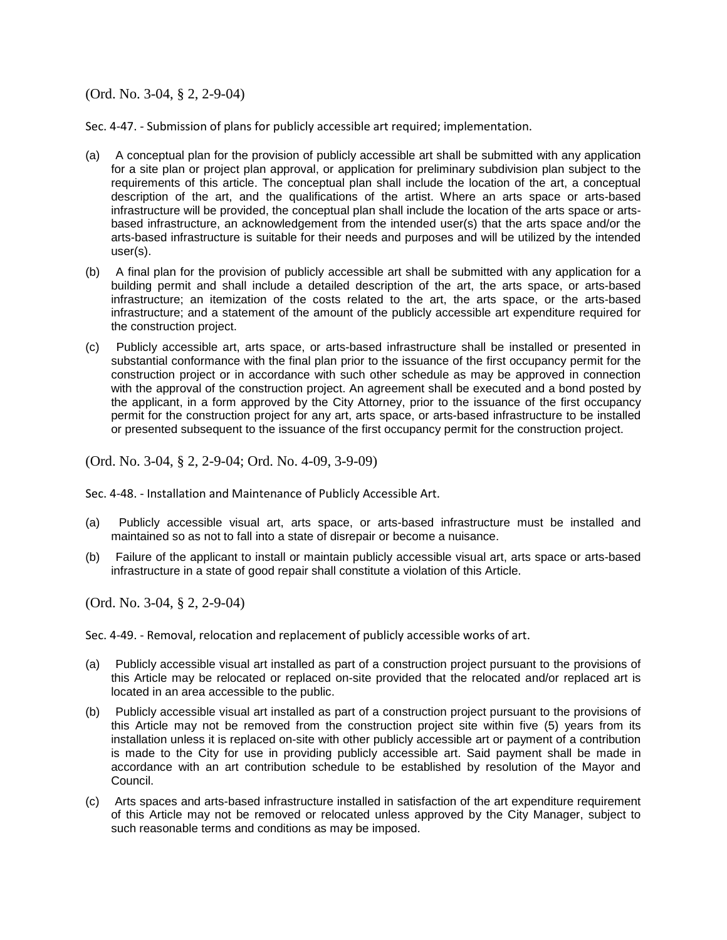(Ord. No. 3-04, § 2, 2-9-04)

Sec. 4-47. - Submission of plans for publicly accessible art required; implementation.

- (a) A conceptual plan for the provision of publicly accessible art shall be submitted with any application for a site plan or project plan approval, or application for preliminary subdivision plan subject to the requirements of this article. The conceptual plan shall include the location of the art, a conceptual description of the art, and the qualifications of the artist. Where an arts space or arts-based infrastructure will be provided, the conceptual plan shall include the location of the arts space or artsbased infrastructure, an acknowledgement from the intended user(s) that the arts space and/or the arts-based infrastructure is suitable for their needs and purposes and will be utilized by the intended user(s).
- (b) A final plan for the provision of publicly accessible art shall be submitted with any application for a building permit and shall include a detailed description of the art, the arts space, or arts-based infrastructure; an itemization of the costs related to the art, the arts space, or the arts-based infrastructure; and a statement of the amount of the publicly accessible art expenditure required for the construction project.
- (c) Publicly accessible art, arts space, or arts-based infrastructure shall be installed or presented in substantial conformance with the final plan prior to the issuance of the first occupancy permit for the construction project or in accordance with such other schedule as may be approved in connection with the approval of the construction project. An agreement shall be executed and a bond posted by the applicant, in a form approved by the City Attorney, prior to the issuance of the first occupancy permit for the construction project for any art, arts space, or arts-based infrastructure to be installed or presented subsequent to the issuance of the first occupancy permit for the construction project.

(Ord. No. 3-04, § 2, 2-9-04; Ord. No. 4-09, 3-9-09)

Sec. 4-48. - Installation and Maintenance of Publicly Accessible Art.

- (a) Publicly accessible visual art, arts space, or arts-based infrastructure must be installed and maintained so as not to fall into a state of disrepair or become a nuisance.
- (b) Failure of the applicant to install or maintain publicly accessible visual art, arts space or arts-based infrastructure in a state of good repair shall constitute a violation of this Article.

(Ord. No. 3-04, § 2, 2-9-04)

Sec. 4-49. - Removal, relocation and replacement of publicly accessible works of art.

- (a) Publicly accessible visual art installed as part of a construction project pursuant to the provisions of this Article may be relocated or replaced on-site provided that the relocated and/or replaced art is located in an area accessible to the public.
- (b) Publicly accessible visual art installed as part of a construction project pursuant to the provisions of this Article may not be removed from the construction project site within five (5) years from its installation unless it is replaced on-site with other publicly accessible art or payment of a contribution is made to the City for use in providing publicly accessible art. Said payment shall be made in accordance with an art contribution schedule to be established by resolution of the Mayor and Council.
- (c) Arts spaces and arts-based infrastructure installed in satisfaction of the art expenditure requirement of this Article may not be removed or relocated unless approved by the City Manager, subject to such reasonable terms and conditions as may be imposed.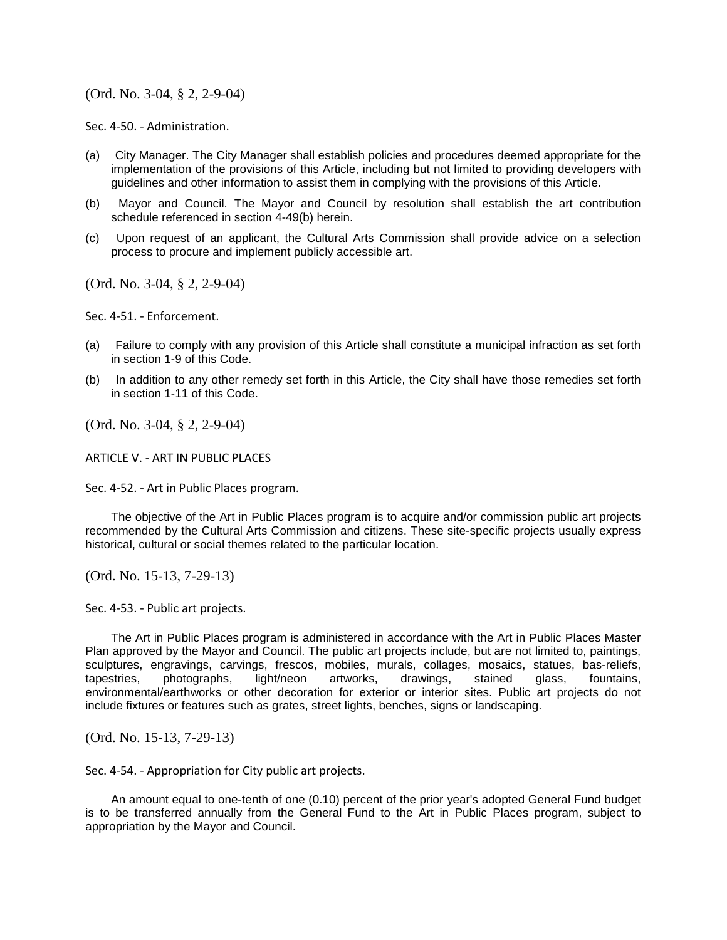## (Ord. No. 3-04, § 2, 2-9-04)

Sec. 4-50. - Administration.

- (a) City Manager. The City Manager shall establish policies and procedures deemed appropriate for the implementation of the provisions of this Article, including but not limited to providing developers with guidelines and other information to assist them in complying with the provisions of this Article.
- (b) Mayor and Council. The Mayor and Council by resolution shall establish the art contribution schedule referenced in section 4-49(b) herein.
- (c) Upon request of an applicant, the Cultural Arts Commission shall provide advice on a selection process to procure and implement publicly accessible art.

(Ord. No. 3-04, § 2, 2-9-04)

Sec. 4-51. - Enforcement.

- (a) Failure to comply with any provision of this Article shall constitute a municipal infraction as set forth in section 1-9 of this Code.
- (b) In addition to any other remedy set forth in this Article, the City shall have those remedies set forth in section 1-11 of this Code.

(Ord. No. 3-04, § 2, 2-9-04)

ARTICLE V. - ART IN PUBLIC PLACES

Sec. 4-52. - Art in Public Places program.

The objective of the Art in Public Places program is to acquire and/or commission public art projects recommended by the Cultural Arts Commission and citizens. These site-specific projects usually express historical, cultural or social themes related to the particular location.

(Ord. No. 15-13, 7-29-13)

Sec. 4-53. - Public art projects.

The Art in Public Places program is administered in accordance with the Art in Public Places Master Plan approved by the Mayor and Council. The public art projects include, but are not limited to, paintings, sculptures, engravings, carvings, frescos, mobiles, murals, collages, mosaics, statues, bas-reliefs, tapestries, photographs, light/neon artworks, drawings, stained glass, fountains, environmental/earthworks or other decoration for exterior or interior sites. Public art projects do not include fixtures or features such as grates, street lights, benches, signs or landscaping.

(Ord. No. 15-13, 7-29-13)

Sec. 4-54. - Appropriation for City public art projects.

An amount equal to one-tenth of one (0.10) percent of the prior year's adopted General Fund budget is to be transferred annually from the General Fund to the Art in Public Places program, subject to appropriation by the Mayor and Council.